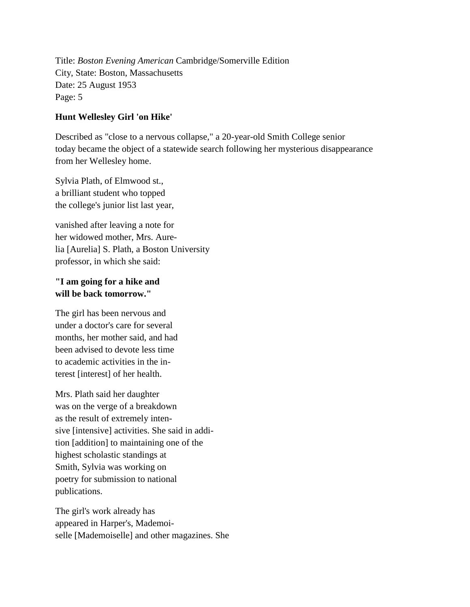Title: *Boston Evening American* Cambridge/Somerville Edition City, State: Boston, Massachusetts Date: 25 August 1953 Page: 5

## **Hunt Wellesley Girl 'on Hike'**

Described as "close to a nervous collapse," a 20-year-old Smith College senior today became the object of a statewide search following her mysterious disappearance from her Wellesley home.

Sylvia Plath, of Elmwood st., a brilliant student who topped the college's junior list last year,

vanished after leaving a note for her widowed mother, Mrs. Aurelia [Aurelia] S. Plath, a Boston University professor, in which she said:

## **"I am going for a hike and will be back tomorrow."**

The girl has been nervous and under a doctor's care for several months, her mother said, and had been advised to devote less time to academic activities in the interest [interest] of her health.

Mrs. Plath said her daughter was on the verge of a breakdown as the result of extremely intensive [intensive] activities. She said in addition [addition] to maintaining one of the highest scholastic standings at Smith, Sylvia was working on poetry for submission to national publications.

The girl's work already has appeared in Harper's, Mademoiselle [Mademoiselle] and other magazines. She